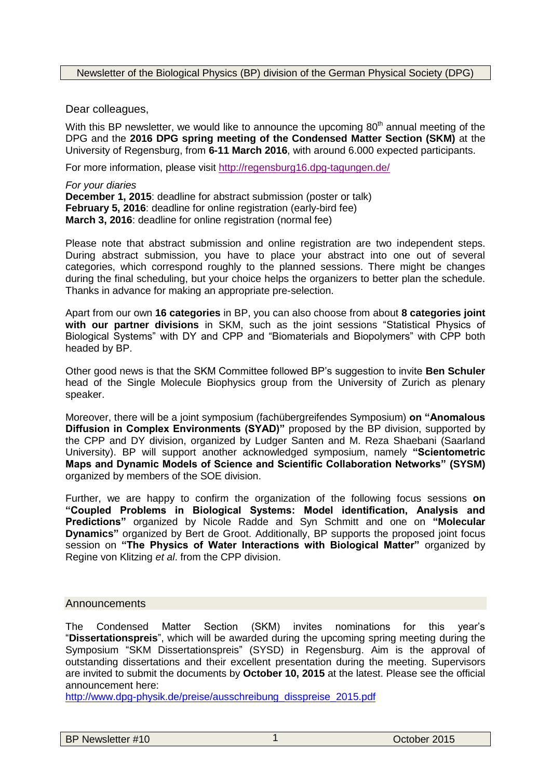Newsletter of the Biological Physics (BP) division of the German Physical Society (DPG)

Dear colleagues,

With this BP newsletter, we would like to announce the upcoming  $80<sup>th</sup>$  annual meeting of the DPG and the **2016 DPG spring meeting of the Condensed Matter Section (SKM)** at the University of Regensburg, from **6-11 March 2016**, with around 6.000 expected participants.

For more information, please visit <http://regensburg16.dpg-tagungen.de/>

*For your diaries* **December 1, 2015**: deadline for abstract submission (poster or talk) **February 5, 2016:** deadline for online registration (early-bird fee) **March 3, 2016**: deadline for online registration (normal fee)

Please note that abstract submission and online registration are two independent steps. During abstract submission, you have to place your abstract into one out of several categories, which correspond roughly to the planned sessions. There might be changes during the final scheduling, but your choice helps the organizers to better plan the schedule. Thanks in advance for making an appropriate pre-selection.

Apart from our own **16 categories** in BP, you can also choose from about **8 categories joint with our partner divisions** in SKM, such as the joint sessions "Statistical Physics of Biological Systems" with DY and CPP and "Biomaterials and Biopolymers" with CPP both headed by BP.

Other good news is that the SKM Committee followed BP's suggestion to invite **Ben Schuler** head of the Single Molecule Biophysics group from the University of Zurich as plenary speaker.

Moreover, there will be a joint symposium (fachübergreifendes Symposium) **on "Anomalous Diffusion in Complex Environments (SYAD)"** proposed by the BP division, supported by the CPP and DY division, organized by Ludger Santen and M. Reza Shaebani (Saarland University). BP will support another acknowledged symposium, namely **"Scientometric Maps and Dynamic Models of Science and Scientific Collaboration Networks" (SYSM)** organized by members of the SOE division.

Further, we are happy to confirm the organization of the following focus sessions **on "Coupled Problems in Biological Systems: Model identification, Analysis and Predictions"** organized by Nicole Radde and Syn Schmitt and one on **"Molecular Dynamics"** organized by Bert de Groot. Additionally, BP supports the proposed joint focus session on **"The Physics of Water Interactions with Biological Matter"** organized by Regine von Klitzing *et al*. from the CPP division.

#### **Announcements**

The Condensed Matter Section (SKM) invites nominations for this year's "**Dissertationspreis**", which will be awarded during the upcoming spring meeting during the Symposium "SKM Dissertationspreis" (SYSD) in Regensburg. Aim is the approval of outstanding dissertations and their excellent presentation during the meeting. Supervisors are invited to submit the documents by **October 10, 2015** at the latest. Please see the official announcement here:

[http://www.dpg-physik.de/preise/ausschreibung\\_disspreise\\_2015.pdf](http://www.dpg-physik.de/preise/ausschreibung_disspreise_2015.pdf)